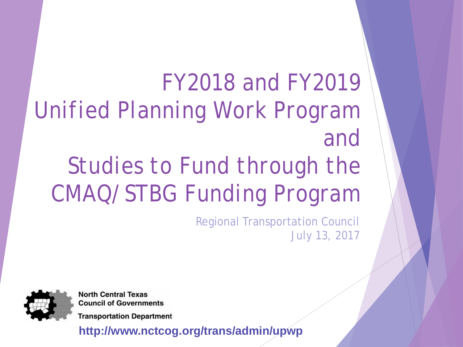FY2018 and FY2019 *Unified Planning Work Program and Studies to Fund through the CMAQ/STBG Funding Program*

> Regional Transportation Council July 13, 2017



**North Central Texas Council of Governments** 

**Transportation Department** 

**http://www.nctcog.org/trans/admin/upwp**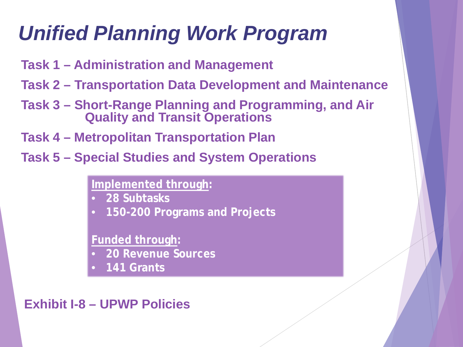## *Unified Planning Work Program*

- **Task 1 – Administration and Management**
- **Task 2 – Transportation Data Development and Maintenance**
- **Task 3 – Short-Range Planning and Programming, and Air Quality and Transit Operations**
- **Task 4 – Metropolitan Transportation Plan**
- **Task 5 – Special Studies and System Operations**

#### **Implemented through:**

- **28 Subtasks**
- **150-200 Programs and Projects**

### **Funded through:**

- **20 Revenue Sources**
- **141 Grants**

### **Exhibit I-8 – UPWP Policies**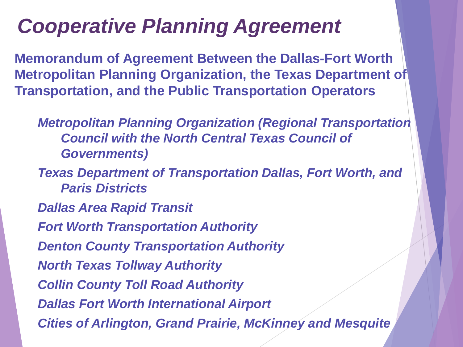## *Cooperative Planning Agreement*

**Memorandum of Agreement Between the Dallas-Fort Worth Metropolitan Planning Organization, the Texas Department of Transportation, and the Public Transportation Operators**

*Metropolitan Planning Organization (Regional Transportation Council with the North Central Texas Council of Governments)*

*Texas Department of Transportation Dallas, Fort Worth, and Paris Districts*

*Dallas Area Rapid Transit*

*Fort Worth Transportation Authority*

*Denton County Transportation Authority*

*North Texas Tollway Authority*

*Collin County Toll Road Authority*

*Dallas Fort Worth International Airport*

*Cities of Arlington, Grand Prairie, McKinney and Mesquite*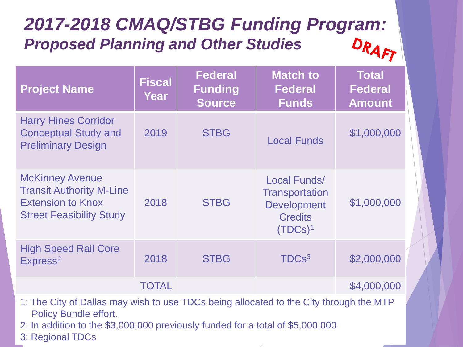## *2017-2018 CMAQ/STBG Funding Program: Proposed Planning and Other Studies*

| <b>Project Name</b>                                                                                                      | <b>Fiscal</b><br>Year | <b>Federal</b><br><b>Funding</b><br><b>Source</b> | <b>Match to</b><br><b>Federal</b><br><b>Funds</b>                                           | <b>Total</b><br><b>Federal</b><br><b>Amount</b> |
|--------------------------------------------------------------------------------------------------------------------------|-----------------------|---------------------------------------------------|---------------------------------------------------------------------------------------------|-------------------------------------------------|
| <b>Harry Hines Corridor</b><br><b>Conceptual Study and</b><br><b>Preliminary Design</b>                                  | 2019                  | <b>STBG</b>                                       | <b>Local Funds</b>                                                                          | \$1,000,000                                     |
| <b>McKinney Avenue</b><br><b>Transit Authority M-Line</b><br><b>Extension to Knox</b><br><b>Street Feasibility Study</b> | 2018                  | <b>STBG</b>                                       | Local Funds/<br><b>Transportation</b><br><b>Development</b><br><b>Credits</b><br>$(TDCs)^1$ | \$1,000,000                                     |
| <b>High Speed Rail Core</b><br>Express <sup>2</sup>                                                                      | 2018                  | <b>STBG</b>                                       | TDCs <sup>3</sup>                                                                           | \$2,000,000                                     |
|                                                                                                                          | <b>TOTAL</b>          |                                                   |                                                                                             | \$4,000,000                                     |

- 1: The City of Dallas may wish to use TDCs being allocated to the City through the MTP Policy Bundle effort.
- 2: In addition to the \$3,000,000 previously funded for a total of \$5,000,000
- 3: Regional TDCs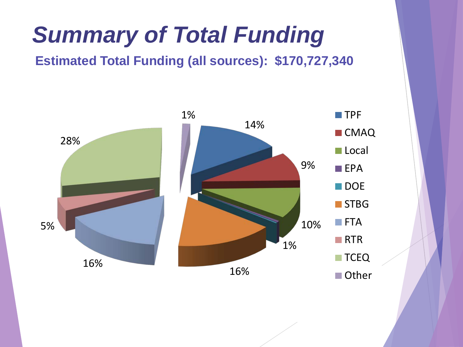# *Summary of Total Funding*

### **Estimated Total Funding (all sources): \$170,727,340**

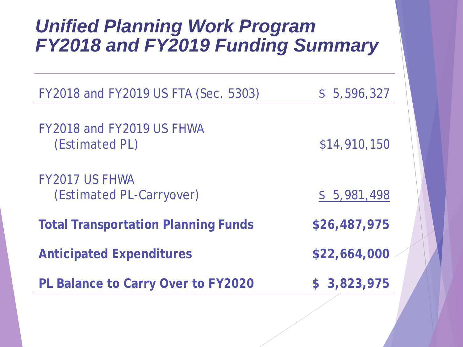### *Unified Planning Work Program FY2018 and FY2019 Funding Summary*

| FY2018 and FY2019 US FTA (Sec. 5303)              | \$5,596,327  |
|---------------------------------------------------|--------------|
| FY2018 and FY2019 US FHWA<br>(Estimated PL)       | \$14,910,150 |
| <b>FY2017 US FHWA</b><br>(Estimated PL-Carryover) | \$5,981,498  |
| <b>Total Transportation Planning Funds</b>        | \$26,487,975 |
| <b>Anticipated Expenditures</b>                   | \$22,664,000 |
| PL Balance to Carry Over to FY2020                | \$3,823,975  |
|                                                   |              |